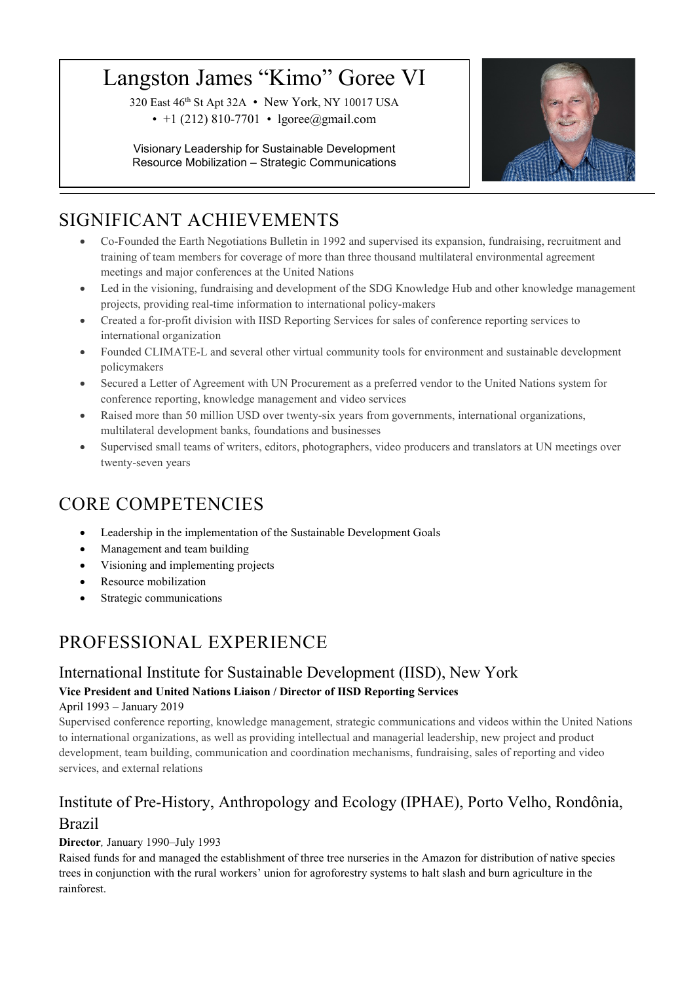# Langston James "Kimo" Goree VI

320 East 46th St Apt 32A • New York, NY 10017 USA • +1 (212) 810-7701 • lgoree@gmail.com

Visionary Leadership for Sustainable Development Resource Mobilization – Strategic Communications



# SIGNIFICANT ACHIEVEMENTS

- Co-Founded the Earth Negotiations Bulletin in 1992 and supervised its expansion, fundraising, recruitment and training of team members for coverage of more than three thousand multilateral environmental agreement meetings and major conferences at the United Nations
- Led in the visioning, fundraising and development of the SDG Knowledge Hub and other knowledge management projects, providing real-time information to international policy-makers
- Created a for-profit division with IISD Reporting Services for sales of conference reporting services to international organization
- Founded CLIMATE-L and several other virtual community tools for environment and sustainable development policymakers
- Secured a Letter of Agreement with UN Procurement as a preferred vendor to the United Nations system for conference reporting, knowledge management and video services
- Raised more than 50 million USD over twenty-six years from governments, international organizations, multilateral development banks, foundations and businesses
- Supervised small teams of writers, editors, photographers, video producers and translators at UN meetings over twenty-seven years

## CORE COMPETENCIES

- Leadership in the implementation of the Sustainable Development Goals
- Management and team building
- Visioning and implementing projects
- Resource mobilization
- Strategic communications

# PROFESSIONAL EXPERIENCE

### International Institute for Sustainable Development (IISD), New York **Vice President and United Nations Liaison / Director of IISD Reporting Services** April 1993 – January 2019

Supervised conference reporting, knowledge management, strategic communications and videos within the United Nations to international organizations, as well as providing intellectual and managerial leadership, new project and product development, team building, communication and coordination mechanisms, fundraising, sales of reporting and video services, and external relations

## Institute of Pre-History, Anthropology and Ecology (IPHAE), Porto Velho, Rondônia, Brazil

#### **Director***,* January 1990–July 1993

Raised funds for and managed the establishment of three tree nurseries in the Amazon for distribution of native species trees in conjunction with the rural workers' union for agroforestry systems to halt slash and burn agriculture in the rainforest.